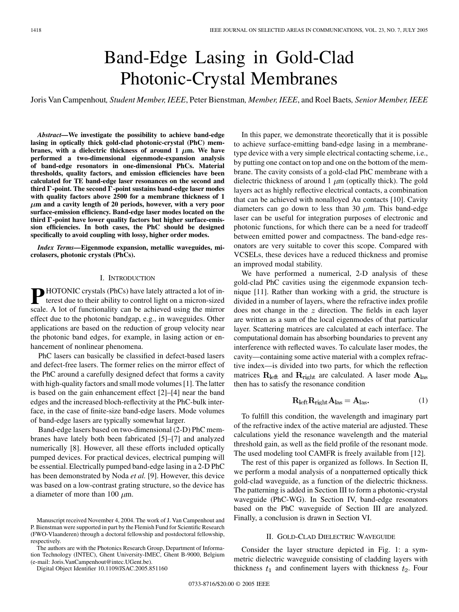# Band-Edge Lasing in Gold-Clad Photonic-Crystal Membranes

Joris Van Campenhout*, Student Member, IEEE*, Peter Bienstman*, Member, IEEE*, and Roel Baets*, Senior Member, IEEE*

*Abstract—***We investigate the possibility to achieve band-edge lasing in optically thick gold-clad photonic-crystal (PhC) mem**branes, with a dielectric thickness of around  $1 \mu m$ . We have **performed a two-dimensional eigenmode-expansion analysis of band-edge resonators in one-dimensional PhCs. Material thresholds, quality factors, and emission efficiencies have been calculated for TE band-edge laser resonances on the second and third**  $\Gamma$ -point. The second  $\Gamma$ -point sustains band-edge laser modes **with quality factors above 2500 for a membrane thickness of 1**  $\mu$ m and a cavity length of 20 periods, however, with a very poor **surface-emission efficiency. Band-edge laser modes located on the third -point have lower quality factors but higher surface-emission efficiencies. In both cases, the PhC should be designed specifically to avoid coupling with lossy, higher order modes.**

*Index Terms—***Eigenmode expansion, metallic waveguides, microlasers, photonic crystals (PhCs).**

#### I. INTRODUCTION

**P** HOTONIC crystals (PhCs) have lately attracted a lot of interest due to their ability to control light on a micron-sized scale. A lot of functionality can be achieved using the mirror effect due to the photonic bandgap, e.g., in waveguides. Other applications are based on the reduction of group velocity near the photonic band edges, for example, in lasing action or enhancement of nonlinear phenomena.

PhC lasers can basically be classified in defect-based lasers and defect-free lasers. The former relies on the mirror effect of the PhC around a carefully designed defect that forms a cavity with high-quality factors and small mode volumes [\[1](#page-4-0)]. The latter is based on the gain enhancement effect [[2\]](#page-4-0)–[[4](#page-4-0)] near the band edges and the increased bloch-reflectivity at the PhC-bulk interface, in the case of finite-size band-edge lasers. Mode volumes of band-edge lasers are typically somewhat larger.

Band-edge lasers based on two-dimensional (2-D) PhC membranes have lately both been fabricated [\[5](#page-4-0)]–[\[7](#page-4-0)] and analyzed numerically [\[8](#page-4-0)]. However, all these efforts included optically pumped devices. For practical devices, electrical pumping will be essential. Electrically pumped band-edge lasing in a 2-D PhC has been demonstrated by Noda *et al.* [[9\]](#page-4-0). However, this device was based on a low-contrast grating structure, so the device has a diameter of more than 100  $\mu$ m.

Digital Object Identifier 10.1109/JSAC.2005.851160

In this paper, we demonstrate theoretically that it is possible to achieve surface-emitting band-edge lasing in a membranetype device with a very simple electrical contacting scheme, i.e., by putting one contact on top and one on the bottom of the membrane. The cavity consists of a gold-clad PhC membrane with a dielectric thickness of around 1  $\mu$ m (optically thick). The gold layers act as highly reflective electrical contacts, a combination that can be achieved with nonalloyed Au contacts [[10\]](#page-4-0). Cavity diameters can go down to less than 30  $\mu$ m. This band-edge laser can be useful for integration purposes of electronic and photonic functions, for which there can be a need for tradeoff between emitted power and compactness. The band-edge resonators are very suitable to cover this scope. Compared with VCSELs, these devices have a reduced thickness and promise an improved modal stability.

We have performed a numerical, 2-D analysis of these gold-clad PhC cavities using the eigenmode expansion technique [[11\]](#page-4-0). Rather than working with a grid, the structure is divided in a number of layers, where the refractive index profile does not change in the  $z$  direction. The fields in each layer are written as a sum of the local eigenmodes of that particular layer. Scattering matrices are calculated at each interface. The computational domain has absorbing boundaries to prevent any interference with reflected waves. To calculate laser modes, the cavity—containing some active material with a complex refractive index—is divided into two parts, for which the reflection matrices  $R_{\text{left}}$  and  $R_{\text{right}}$  are calculated. A laser mode  $A_{\text{las}}$ then has to satisfy the resonance condition

$$
\mathbf{R}_{\text{left}} \mathbf{R}_{\text{right}} \mathbf{A}_{\text{las}} = \mathbf{A}_{\text{las}}.\tag{1}
$$

To fulfill this condition, the wavelength and imaginary part of the refractive index of the active material are adjusted. These calculations yield the resonance wavelength and the material threshold gain, as well as the field profile of the resonant mode. The used modeling tool CAMFR is freely available from [[12\]](#page-4-0).

The rest of this paper is organized as follows. In Section II, we perform a modal analysis of a nonpatterned optically thick gold-clad waveguide, as a function of the dielectric thickness. The patterning is added in Section III to form a photonic-crystal waveguide (PhC-WG). In Section IV, band-edge resonators based on the PhC waveguide of Section III are analyzed. Finally, a conclusion is drawn in Section VI.

## II. GOLD-CLAD DIELECTRIC WAVEGUIDE

Consider the layer structure depicted in Fig. 1: a symmetric dielectric waveguide consisting of cladding layers with thickness  $t_1$  and confinement layers with thickness  $t_2$ . Four

Manuscript received November 4, 2004. The work of J. Van Campenhout and P. Bienstman were supported in part by the Flemish Fund for Scientific Research (FWO-Vlaanderen) through a doctoral fellowship and postdoctoral fellowship, respectively.

The authors are with the Photonics Research Group, Department of Information Technology (INTEC), Ghent University-IMEC, Ghent B-9000, Belgium (e-mail: Joris.VanCampenhout@intec.UGent.be).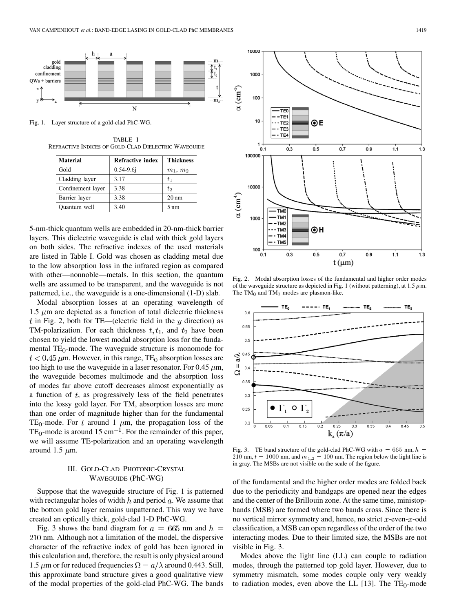

Fig. 1. Layer structure of a gold-clad PhC-WG.

TABLE I REFRACTIVE INDICES OF GOLD-CLAD DIELECTRIC WAVEGUIDE

| <b>Material</b>   | <b>Refractive index</b> | <b>Thickness</b> |
|-------------------|-------------------------|------------------|
| Gold              | $0.54 - 9.6$ j          | $m_1, m_2$       |
| Cladding layer    | 3.17                    | $t_{1}$          |
| Confinement layer | 3.38                    | $t_2$            |
| Barrier layer     | 3.38                    | $20 \text{ nm}$  |
| Quantum well      | 3.40                    | 5 nm             |

5-nm-thick quantum wells are embedded in 20-nm-thick barrier layers. This dielectric waveguide is clad with thick gold layers on both sides. The refractive indexes of the used materials are listed in Table I. Gold was chosen as cladding metal due to the low absorption loss in the infrared region as compared with other—nonnoble—metals. In this section, the quantum wells are assumed to be transparent, and the waveguide is not patterned, i.e., the waveguide is a one-dimensional (1-D) slab.

Modal absorption losses at an operating wavelength of  $1.5 \mu m$  are depicted as a function of total dielectric thickness t in Fig. 2, both for TE—(electric field in the  $y$  direction) as TM-polarization. For each thickness  $t, t_1$ , and  $t_2$  have been chosen to yield the lowest modal absorption loss for the fundamental  $TE_0$ -mode. The waveguide structure is monomode for  $t < 0.45 \mu$ m. However, in this range, TE<sub>0</sub> absorption losses are too high to use the waveguide in a laser resonator. For 0.45  $\mu$ m, the waveguide becomes multimode and the absorption loss of modes far above cutoff decreases almost exponentially as a function of  $t$ , as progressively less of the field penetrates into the lossy gold layer. For TM, absorption losses are more than one order of magnitude higher than for the fundamental TE<sub>0</sub>-mode. For t around 1  $\mu$ m, the propagation loss of the TE<sub>0</sub>-mode is around 15 cm<sup>-1</sup>. For the remainder of this paper, we will assume TE-polarization and an operating wavelength around 1.5  $\mu$ m.

# III. GOLD-CLAD PHOTONIC-CRYSTAL WAVEGUIDE (PhC-WG)

Suppose that the waveguide structure of Fig. 1 is patterned with rectangular holes of width  $h$  and period  $a$ . We assume that the bottom gold layer remains unpatterned. This way we have created an optically thick, gold-clad 1-D PhC-WG.

Fig. 3 shows the band diagram for  $a = 665$  nm and  $h =$ 210 nm. Although not a limitation of the model, the dispersive character of the refractive index of gold has been ignored in this calculation and, therefore, the result is only physical around 1.5  $\mu$ m or for reduced frequencies  $\Omega = a/\lambda$  around 0.443. Still, this approximate band structure gives a good qualitative view of the modal properties of the gold-clad PhC-WG. The bands



Fig. 2. Modal absorption losses of the fundamental and higher order modes of the waveguide structure as depicted in Fig. 1 (without patterning), at 1.5  $\mu$ m. The  $TM_0$  and  $TM_1$  modes are plasmon-like.



Fig. 3. TE band structure of the gold-clad PhC-WG with  $a = 665$  nm,  $h =$ 210 nm,  $t = 1000$  nm, and  $m_{1,2} = 100$  nm. The region below the light line is in gray. The MSBs are not visible on the scale of the figure.

of the fundamental and the higher order modes are folded back due to the periodicity and bandgaps are opened near the edges and the center of the Brillouin zone. At the same time, ministopbands (MSB) are formed where two bands cross. Since there is no vertical mirror symmetry and, hence, no strict  $x$ -even- $x$ -odd classification, a MSB can open regardless of the order of the two interacting modes. Due to their limited size, the MSBs are not visible in Fig. 3.

Modes above the light line (LL) can couple to radiation modes, through the patterned top gold layer. However, due to symmetry mismatch, some modes couple only very weakly to radiation modes, even above the LL  $[13]$  $[13]$ . The TE<sub>0</sub>-mode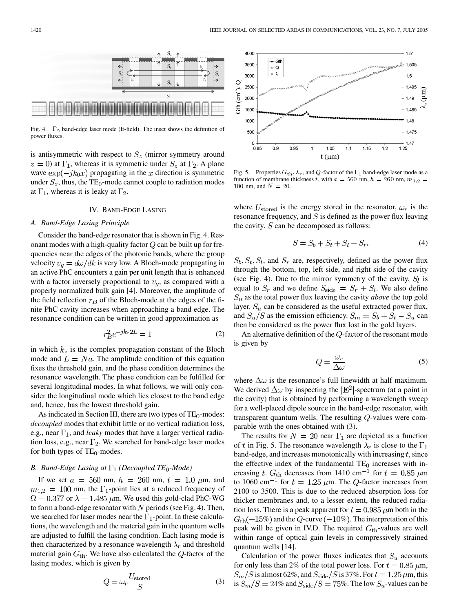

Fig. 4.  $\Gamma_2$  band-edge laser mode (E-field). The inset shows the definition of power fluxes.

is antisymmetric with respect to  $S_z$  (mirror symmetry around  $z = 0$ ) at  $\Gamma_1$ , whereas it is symmetric under  $S_z$  at  $\Gamma_2$ . A plane wave  $\exp(-jk_0x)$  propagating in the x direction is symmetric under  $S_z$ , thus, the TE<sub>0</sub>-mode cannot couple to radiation modes at  $\Gamma_1$ , whereas it is leaky at  $\Gamma_2$ .

## IV. BAND-EDGE LASING

#### *A. Band-Edge Lasing Principle*

Consider the band-edge resonator that is shown in Fig. 4. Resonant modes with a high-quality factor  $Q$  can be built up for frequencies near the edges of the photonic bands, where the group velocity  $v_q = d\omega/dk$  is very low. A Bloch-mode propagating in an active PhC encounters a gain per unit length that is enhanced with a factor inversely proportional to  $v_q$ , as compared with a properly normalized bulk gain [\[4](#page-4-0)]. Moreover, the amplitude of the field reflection  $r_B$  of the Bloch-mode at the edges of the finite PhC cavity increases when approaching a band edge. The resonance condition can be written in good approximation as

$$
r_B^2 e^{-jk_z 2L} = 1 \tag{2}
$$

in which  $k_z$  is the complex propagation constant of the Bloch mode and  $L = Na$ . The amplitude condition of this equation fixes the threshold gain, and the phase condition determines the resonance wavelength. The phase condition can be fulfilled for several longitudinal modes. In what follows, we will only consider the longitudinal mode which lies closest to the band edge and, hence, has the lowest threshold gain.

As indicated in Section III, there are two types of  $TE_0$ -modes: *decoupled* modes that exhibit little or no vertical radiation loss, e.g., near  $\Gamma_1$ , and *leaky* modes that have a larger vertical radiation loss, e.g., near  $\Gamma_2$ . We searched for band-edge laser modes for both types of  $TE_0$ -modes.

# *B. Band-Edge Lasing at*  $\Gamma_1$  (Decoupled TE<sub>0</sub>-Mode)

If we set  $a = 560$  nm,  $h = 260$  nm,  $t = 1.0 \mu$ m, and  $m_{1,2} = 100$  nm, the  $\Gamma_1$ -point lies at a reduced frequency of  $\Omega = 0.377$  or  $\lambda = 1.485 \mu$ m. We used this gold-clad PhC-WG to form a band-edge resonator with N periods (see Fig. 4). Then, we searched for laser modes near the  $\Gamma_1$ -point. In these calculations, the wavelength and the material gain in the quantum wells are adjusted to fulfill the lasing condition. Each lasing mode is then characterized by a resonance wavelength  $\lambda_r$  and threshold material gain  $G_{\text{th}}$ . We have also calculated the  $Q$ -factor of the lasing modes, which is given by

$$
Q = \omega_r \frac{U_{\text{stored}}}{S} \tag{3}
$$



Fig. 5. Properties  $G_{\th}$ ,  $\lambda_r$ , and  $Q$ -factor of the  $\Gamma_1$  band-edge laser mode as a function of membrane thickness t, with  $a = 560$  nm,  $h = 260$  nm,  $m_{1,2} =$ 100 nm, and  $N = 20$ .

where  $U_{\text{stored}}$  is the energy stored in the resonator,  $\omega_r$  is the resonance frequency, and  $S$  is defined as the power flux leaving the cavity.  $S$  can be decomposed as follows:

$$
S = S_b + S_t + S_l + S_r. \tag{4}
$$

 $S_b, S_t, S_l$ , and  $S_r$  are, respectively, defined as the power flux through the bottom, top, left side, and right side of the cavity (see Fig. 4). Due to the mirror symmetry of the cavity,  $S_l$  is equal to  $S_r$  and we define  $S_{\text{side}} = S_r + S_l$ . We also define  $S_u$  as the total power flux leaving the cavity *above* the top gold layer.  $S_u$  can be considered as the useful extracted power flux, and  $S_u/S$  as the emission efficiency.  $S_m = S_b + S_t - S_u$  can then be considered as the power flux lost in the gold layers.

An alternative definition of the  $Q$ -factor of the resonant mode is given by

$$
Q = \frac{\omega_r}{\Delta \omega} \tag{5}
$$

where  $\Delta\omega$  is the resonance's full linewidth at half maximum. We derived  $\Delta\omega$  by inspecting the  $|E^2|$ -spectrum (at a point in the cavity) that is obtained by performing a wavelength sweep for a well-placed dipole source in the band-edge resonator, with transparent quantum wells. The resulting  $Q$ -values were comparable with the ones obtained with (3).

The results for  $N = 20$  near  $\Gamma_1$  are depicted as a function of t in Fig. 5. The resonance wavelength  $\lambda_r$  is close to the  $\Gamma_1$ band-edge, and increases monotonically with increasing  $t$ , since the effective index of the fundamental  $TE_0$  increases with increasing t.  $G_{\text{th}}$  decreases from 1410 cm<sup>-1</sup> for  $t = 0.85 \ \mu \text{m}$ to 1060 cm<sup>-1</sup> for  $t = 1.25 \mu$ m. The Q-factor increases from 2100 to 3500. This is due to the reduced absorption loss for thicker membranes and, to a lesser extent, the reduced radiation loss. There is a peak apparent for  $t = 0.985 \mu m$  both in the  $G_{\text{th}}(+15\%)$  and the Q-curve (-10%). The interpretation of this peak will be given in IV.D. The required  $G_{\text{th}}$ -values are well within range of optical gain levels in compressively strained quantum wells [[14\]](#page-4-0).

Calculation of the power fluxes indicates that  $S_u$  accounts for only less than 2% of the total power loss. For  $t = 0.85 \,\mu \text{m}$ ,  $S_m/S$  is almost 62%, and  $S_{\rm side}/S$  is 37%. For  $t = 1.25 \,\mu$ m, this is  $S_m/S = 24\%$  and  $S_{\rm side}/S = 75\%$ . The low  $S_u$ -values can be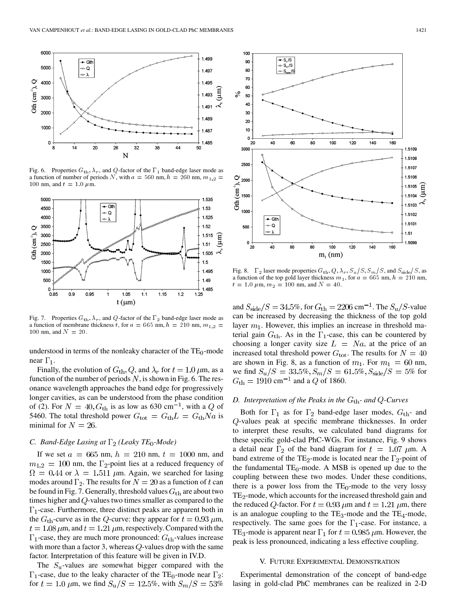

Fig. 6. Properties  $G_{\text{th}}$ ,  $\lambda_r$ , and Q-factor of the  $\Gamma_1$  band-edge laser mode as a function of number of periods N, with  $a = 560$  nm,  $h = 260$  nm,  $m_{1,2}$ 100 nm, and  $t = 1.0 \mu$ m.



Fig. 7. Properties  $G_{\text{th}}$ ,  $\lambda_r$ , and Q-factor of the  $\Gamma_2$  band-edge laser mode as a function of membrane thickness t, for  $a = 665$  nm,  $h = 210$  nm,  $m_{1,2} =$ 100 nm, and  $N = 20$ .

understood in terms of the nonleaky character of the  $TE_0$ -mode near  $\Gamma_1$ .

Finally, the evolution of  $G_{\text{th}}$ ,  $Q$ , and  $\lambda_r$  for  $t = 1.0 \,\mu$ m, as a function of the number of periods  $N$ , is shown in Fig. 6. The resonance wavelength approaches the band edge for progressively longer cavities, as can be understood from the phase condition of (2). For  $N = 40$ ,  $G<sub>th</sub>$  is as low as 630 cm<sup>-1</sup>, with a Q of 5460. The total threshold power  $G_{\text{tot}} = G_{\text{th}}L = G_{\text{th}}Na$  is minimal for  $N = 26$ .

## *C. Band-Edge Lasing at*  $\Gamma_2$  (*Leaky TE*<sub>0</sub>-*Mode*)

If we set  $a = 665$  nm,  $h = 210$  nm,  $t = 1000$  nm, and  $m_{1,2} = 100$  nm, the  $\Gamma_2$ -point lies at a reduced frequency of  $\Omega = 0.44$  or  $\lambda = 1.511 \mu$ m. Again, we searched for lasing modes around  $\Gamma_2$ . The results for  $N = 20$  as a function of t can be found in Fig. 7. Generally, threshold values  $G<sub>th</sub>$  are about two times higher and  $Q$ -values two times smaller as compared to the  $\Gamma_1$ -case. Furthermore, three distinct peaks are apparent both in the  $G_{\text{th}}$ -curve as in the Q-curve: they appear for  $t = 0.93 \,\mu\text{m}$ ,  $t = 1.08 \,\mu\text{m}$ , and  $t = 1.21 \,\mu\text{m}$ , respectively. Compared with the  $\Gamma_1$ -case, they are much more pronounced:  $G_{\text{th}}$ -values increase with more than a factor 3, whereas  $Q$ -values drop with the same factor. Interpretation of this feature will be given in IV.D.

The  $S_u$ -values are somewhat bigger compared with the  $\Gamma_1$ -case, due to the leaky character of the TE<sub>0</sub>-mode near  $\Gamma_2$ : for  $t = 1.0 \ \mu \text{m}$ , we find  $S_u/S = 12.5\%$ , with  $S_m/S = 53\%$ 



Fig. 8.  $\Gamma_2$  laser mode properties  $G_{\text{th}}$ ,  $Q$ ,  $\lambda_r$ ,  $S_u/S$ ,  $S_m/S$ , and  $S_{\text{side}}/S$ , as a function of the top gold layer thickness  $m_1$ , for  $a = 665$  nm,  $h = 210$  nm,  $t = 1.0 \ \mu \text{m}, m_2 = 100 \ \text{nm}, \text{and } N = 40.$ 

and  $S_{\rm side}/S = 34.5\%$ , for  $G_{\rm th} = 2206 \text{ cm}^{-1}$ . The  $S_u/S$ -value can be increased by decreasing the thickness of the top gold layer  $m_1$ . However, this implies an increase in threshold material gain  $G_{\text{th}}$ . As in the  $\Gamma_1$ -case, this can be countered by choosing a longer cavity size  $L = Na$ , at the price of an increased total threshold power  $G_{\text{tot}}$ . The results for  $N = 40$ are shown in Fig. 8, as a function of  $m_1$ . For  $m_1 = 60$  nm, we find  $S_u/S = 33.5\%, S_m/S = 61.5\%, S_{\text{side}}/S = 5\%$  for  $G_{\text{th}} = 1910 \text{ cm}^{-1}$  and a Q of 1860.

## *D. Interpretation of the Peaks in the*  $G<sub>th</sub>$ *- and*  $Q$ *-Curves*

Both for  $\Gamma_1$  as for  $\Gamma_2$  band-edge laser modes,  $G_{\text{th}}$ - and  $Q$ -values peak at specific membrane thicknesses. In order to interpret these results, we calculated band diagrams for these specific gold-clad PhC-WGs. For instance, Fig. 9 shows a detail near  $\Gamma_2$  of the band diagram for  $t = 1.07 \mu m$ . A band extreme of the TE<sub>2</sub>-mode is located near the  $\Gamma_2$ -point of the fundamental  $TE_0$ -mode. A MSB is opened up due to the coupling between these two modes. Under these conditions, there is a power loss from the  $TE_0$ -mode to the very lossy  $TE<sub>2</sub>$ -mode, which accounts for the increased threshold gain and the reduced Q-factor. For  $t = 0.93 \mu$ m and  $t = 1.21 \mu$ m, there is an analogue coupling to the  $TE_3$ -mode and the  $TE_4$ -mode, respectively. The same goes for the  $\Gamma_1$ -case. For instance, a TE<sub>3</sub>-mode is apparent near  $\Gamma_1$  for  $t = 0.985 \mu$ m. However, the peak is less pronounced, indicating a less effective coupling.

#### V. FUTURE EXPERIMENTAL DEMONSTRATION

Experimental demonstration of the concept of band-edge lasing in gold-clad PhC membranes can be realized in 2-D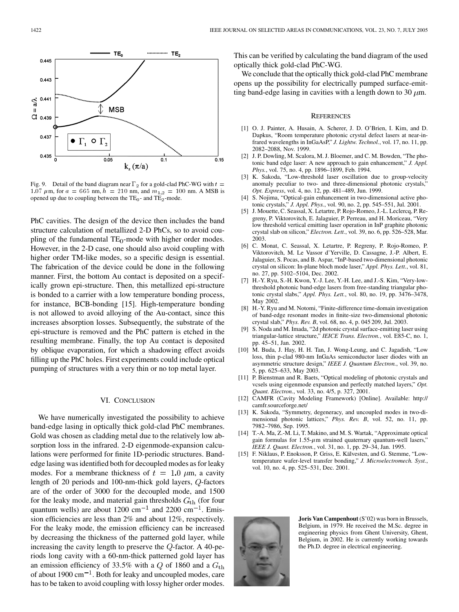<span id="page-4-0"></span>

Fig. 9. Detail of the band diagram near  $\Gamma_2$  for a gold-clad PhC-WG with  $t =$ 1.07  $\mu$ m, for  $a = 665$  nm,  $h = 210$  nm, and  $m_{1,2} = 100$  nm. A MSB is opened up due to coupling between the  $TE_0$ - and  $TE_2$ -mode.

PhC cavities. The design of the device then includes the band structure calculation of metallized 2-D PhCs, so to avoid coupling of the fundamental  $TE_0$ -mode with higher order modes. However, in the 2-D case, one should also avoid coupling with higher order TM-like modes, so a specific design is essential. The fabrication of the device could be done in the following manner. First, the bottom Au contact is deposited on a specifically grown epi-structure. Then, this metallized epi-structure is bonded to a carrier with a low temperature bonding process, for instance, BCB-bonding [15]. High-temperature bonding is not allowed to avoid alloying of the Au-contact, since this increases absorption losses. Subsequently, the substrate of the epi-structure is removed and the PhC pattern is etched in the resulting membrane. Finally, the top Au contact is deposited by oblique evaporation, for which a shadowing effect avoids filling up the PhC holes. First experiments could include optical pumping of structures with a very thin or no top metal layer.

## VI. CONCLUSION

We have numerically investigated the possibility to achieve band-edge lasing in optically thick gold-clad PhC membranes. Gold was chosen as cladding metal due to the relatively low absorption loss in the infrared. 2-D eigenmode-expansion calculations were performed for finite 1D-periodic structures. Bandedge lasing was identified both for decoupled modes as for leaky modes. For a membrane thickness of  $t = 1.0 \mu m$ , a cavity length of 20 periods and 100-nm-thick gold layers,  $Q$ -factors are of the order of 3000 for the decoupled mode, and 1500 for the leaky mode, and material gain thresholds  $G<sub>th</sub>$  (for four quantum wells) are about 1200 cm<sup>-1</sup> and 2200 cm<sup>-1</sup>. Emission efficiencies are less than 2% and about 12%, respectively. For the leaky mode, the emission efficiency can be increased by decreasing the thickness of the patterned gold layer, while increasing the cavity length to preserve the  $Q$ -factor. A 40-periods long cavity with a 60-nm-thick patterned gold layer has an emission efficiency of 33.5% with a  $Q$  of 1860 and a  $G_{\text{th}}$ of about 1900  $cm^{-1}$ . Both for leaky and uncoupled modes, care has to be taken to avoid coupling with lossy higher order modes. This can be verified by calculating the band diagram of the used optically thick gold-clad PhC-WG.

We conclude that the optically thick gold-clad PhC membrane opens up the possibility for electrically pumped surface-emitting band-edge lasing in cavities with a length down to 30  $\mu$ m.

#### **REFERENCES**

- [1] O. J. Painter, A. Husain, A. Scherer, J. D. O'Brien, I. Kim, and D. Dapkus, "Room temperature photonic crystal defect lasers at near-infrared wavelengths in InGaAsP," *J. Lightw. Technol.*, vol. 17, no. 11, pp. 2082–2088, Nov. 1999.
- [2] J. P. Dowling, M. Scalora, M. J. Bloemer, and C. M. Bowden, "The photonic band edge laser: A new approach to gain enhancement," *J. Appl. Phys.*, vol. 75, no. 4, pp. 1896–1899, Feb. 1994.
- [3] K. Sakoda, "Low-threshold laser oscillation due to group-velocity anomaly peculiar to two- and three-dimensional photonic crystals,' *Opt. Express*, vol. 4, no. 12, pp. 481–489, Jun. 1999.
- [4] S. Nojima, "Optical-gain enhancement in two-dimensional active photonic crystals," *J. Appl. Phys.*, vol. 90, no. 2, pp. 545–551, Jul. 2001.
- [5] J. Mouette, C. Seassal, X. Letartre, P. Rojo-Romeo, J.-L. Leclercq, P. Regreny, P. Viktorovitch, E. Jalaguier, P. Perreau, and H. Moriceau, "Very low threshold vertical emitting laser operation in InP graphite photonic crystal slab on silicon," *Electron. Lett.*, vol. 39, no. 6, pp. 526–528, Mar. 2003.
- [6] C. Monat, C. Seassal, X. Letartre, P. Regreny, P. Rojo-Romeo, P. Viktorovitch, M. Le Vassor d'Yerville, D. Cassagne, J.-P. Albert, E. Jalaguier, S. Pocas, and B. Aspar, "InP-based two-dimensional photonic crystal on silicon: In-plane bloch mode laser," *Appl. Phys. Lett.*, vol. 81, no. 27, pp. 5102–5104, Dec. 2002.
- [7] H.-Y. Ryu, S.-H. Kwon, Y.-J. Lee, Y.-H. Lee, and J.-S. Kim, "Very-lowthreshold photonic band-edge lasers from free-standing triangular photonic crystal slabs," *Appl. Phys. Lett.*, vol. 80, no. 19, pp. 3476–3478, May 2002.
- [8] H.-Y. Ryu and M. Notomi, "Finite-difference time-domain investigation of band-edge resonant modes in finite-size two-dimensional photonic crystal slab," *Phys. Rev. B*, vol. 68, no. 4, p. 045 209, Jul. 2003.
- [9] S. Noda and M. Imada, "2d photonic crystal surface-emitting laser using triangular-lattice structure," *IEICE Trans. Electron.*, vol. E85-C, no. 1, pp. 45–51, Jan. 2002.
- [10] M. Buda, J. Hay, H. H. Tan, J. Wong-Leung, and C. Jagadish, "Low loss, thin p-clad 980-nm InGaAs semiconductor laser diodes with an asymmetric structure design," *IEEE J. Quantum Electron.*, vol. 39, no. 5, pp. 625–633, May 2003.
- [11] P. Bienstman and R. Baets, "Optical modeling of photonic crystals and vcsels using eigenmode expansion and perfectly matched layers," *Opt. Quant. Electron.*, vol. 33, no. 4/5, p. 327, 2001.
- [12] CAMFR (Cavity Modeling Framework) [Online]. Available: http:// camfr.sourceforge.net/
- [13] K. Sakoda, "Symmetry, degeneracy, and uncoupled modes in two-dimensional photonic lattices," *Phys. Rev. B*, vol. 52, no. 11, pp. 7982–7986, Sep. 1995.
- [14] T.-A. Ma, Z.-M. Li, T. Makino, and M. S. Wartak, "Approximate optical gain formulas for  $1.55-\mu$ m strained quaternary quantum-well lasers," *IEEE J. Quant. Electron.*, vol. 31, no. 1, pp. 29–34, Jan. 1995.
- [15] F. Niklaus, P. Enoksson, P. Griss, E. Kälvesten, and G. Stemme, "Lowtemperature wafer-level transfer bonding," *J. Microelectromech. Syst.*, vol. 10, no. 4, pp. 525–531, Dec. 2001.



**Joris Van Campenhout** (S'02) was born in Brussels, Belgium, in 1979. He received the M.Sc. degree in engineering physics from Ghent University, Ghent, Belgium, in 2002. He is currently working towards the Ph.D. degree in electrical engineering.